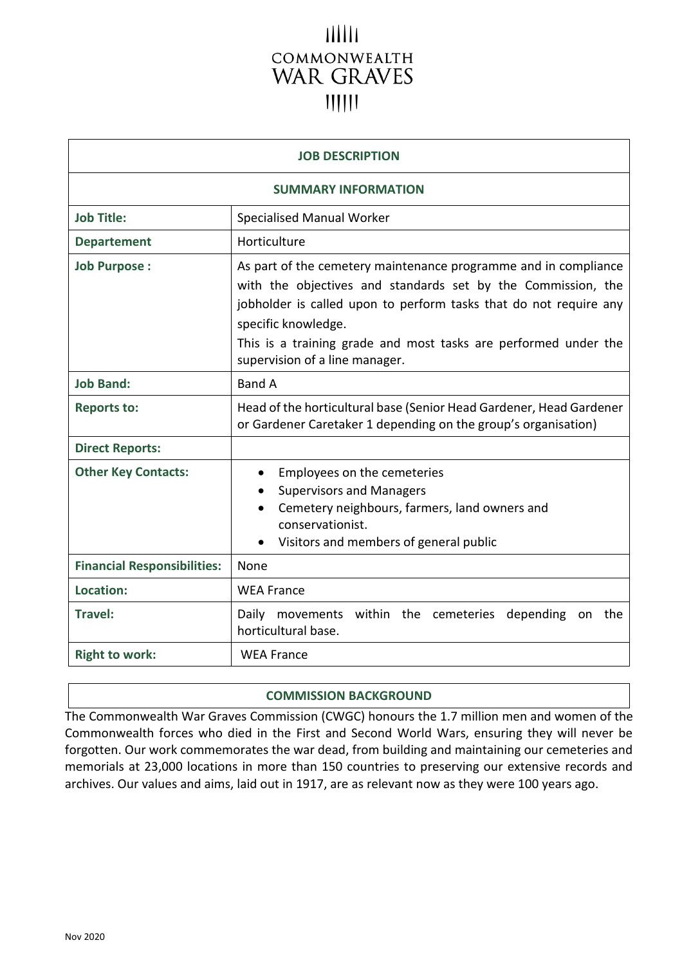# $11111$ COMMONWEALTH **WAR GRAVES**

| <b>JOB DESCRIPTION</b>             |                                                                                                                                                                                                                                                                                                                                  |
|------------------------------------|----------------------------------------------------------------------------------------------------------------------------------------------------------------------------------------------------------------------------------------------------------------------------------------------------------------------------------|
| <b>SUMMARY INFORMATION</b>         |                                                                                                                                                                                                                                                                                                                                  |
| <b>Job Title:</b>                  | <b>Specialised Manual Worker</b>                                                                                                                                                                                                                                                                                                 |
| <b>Departement</b>                 | Horticulture                                                                                                                                                                                                                                                                                                                     |
| <b>Job Purpose:</b>                | As part of the cemetery maintenance programme and in compliance<br>with the objectives and standards set by the Commission, the<br>jobholder is called upon to perform tasks that do not require any<br>specific knowledge.<br>This is a training grade and most tasks are performed under the<br>supervision of a line manager. |
| <b>Job Band:</b>                   | <b>Band A</b>                                                                                                                                                                                                                                                                                                                    |
| <b>Reports to:</b>                 | Head of the horticultural base (Senior Head Gardener, Head Gardener<br>or Gardener Caretaker 1 depending on the group's organisation)                                                                                                                                                                                            |
| <b>Direct Reports:</b>             |                                                                                                                                                                                                                                                                                                                                  |
| <b>Other Key Contacts:</b>         | Employees on the cemeteries<br><b>Supervisors and Managers</b><br>Cemetery neighbours, farmers, land owners and<br>conservationist.<br>Visitors and members of general public                                                                                                                                                    |
| <b>Financial Responsibilities:</b> | None                                                                                                                                                                                                                                                                                                                             |
| Location:                          | <b>WEA France</b>                                                                                                                                                                                                                                                                                                                |
| <b>Travel:</b>                     | Daily movements within the cemeteries<br>depending<br>the<br>on<br>horticultural base.                                                                                                                                                                                                                                           |
| <b>Right to work:</b>              | <b>WEA France</b>                                                                                                                                                                                                                                                                                                                |

#### **COMMISSION BACKGROUND**

The Commonwealth War Graves Commission (CWGC) honours the 1.7 million men and women of the Commonwealth forces who died in the First and Second World Wars, ensuring they will never be forgotten. Our work commemorates the war dead, from building and maintaining our cemeteries and memorials at 23,000 locations in more than 150 countries to preserving our extensive records and archives. Our values and aims, laid out in 1917, are as relevant now as they were 100 years ago.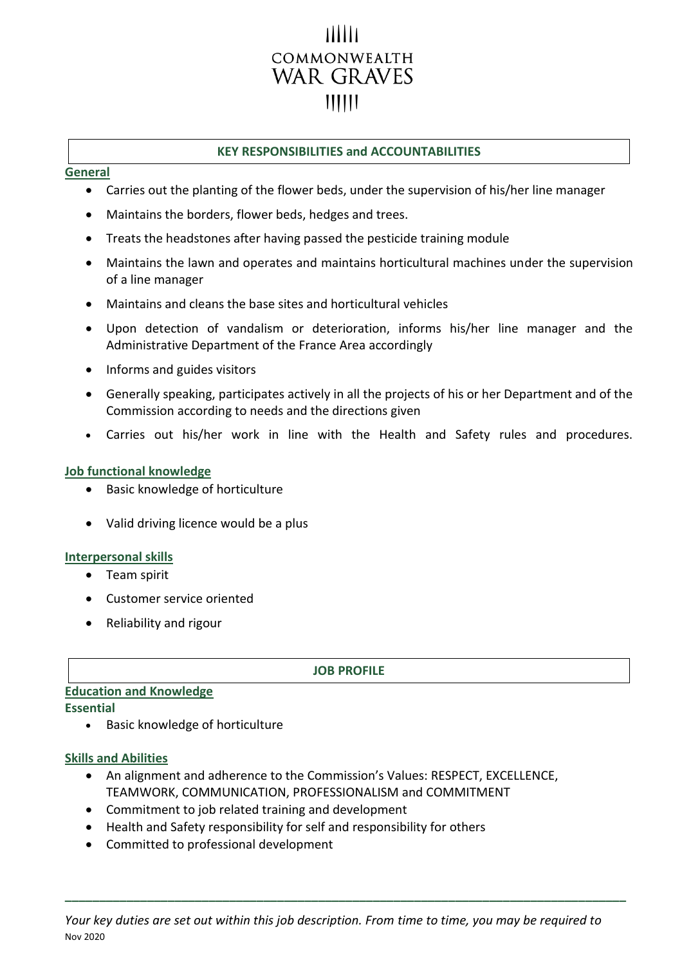# COMMONWEALTH **WAR GRAVES**  $111111$

## **KEY RESPONSIBILITIES and ACCOUNTABILITIES**

#### **General**

- Carries out the planting of the flower beds, under the supervision of his/her line manager
- Maintains the borders, flower beds, hedges and trees.
- Treats the headstones after having passed the pesticide training module
- Maintains the lawn and operates and maintains horticultural machines under the supervision of a line manager
- Maintains and cleans the base sites and horticultural vehicles
- Upon detection of vandalism or deterioration, informs his/her line manager and the Administrative Department of the France Area accordingly
- Informs and guides visitors
- Generally speaking, participates actively in all the projects of his or her Department and of the Commission according to needs and the directions given
- Carries out his/her work in line with the Health and Safety rules and procedures.

## **Job functional knowledge**

- Basic knowledge of horticulture
- Valid driving licence would be a plus

## **Interpersonal skills**

- Team spirit
- Customer service oriented
- Reliability and rigour

#### **JOB PROFILE**

# **Education and Knowledge**

#### **Essential**

• Basic knowledge of horticulture

## **Skills and Abilities**

- An alignment and adherence to the Commission's Values: RESPECT, EXCELLENCE, TEAMWORK, COMMUNICATION, PROFESSIONALISM and COMMITMENT
- Commitment to job related training and development
- Health and Safety responsibility for self and responsibility for others
- Committed to professional development

Nov 2020 *Your key duties are set out within this job description. From time to time, you may be required to* 

**\_\_\_\_\_\_\_\_\_\_\_\_\_\_\_\_\_\_\_\_\_\_\_\_\_\_\_\_\_\_\_\_\_\_\_\_\_\_\_\_\_\_\_\_\_\_\_\_\_\_\_\_\_\_\_\_\_\_\_\_\_\_\_\_\_\_\_\_\_\_\_\_\_\_\_\_\_\_\_\_\_\_**